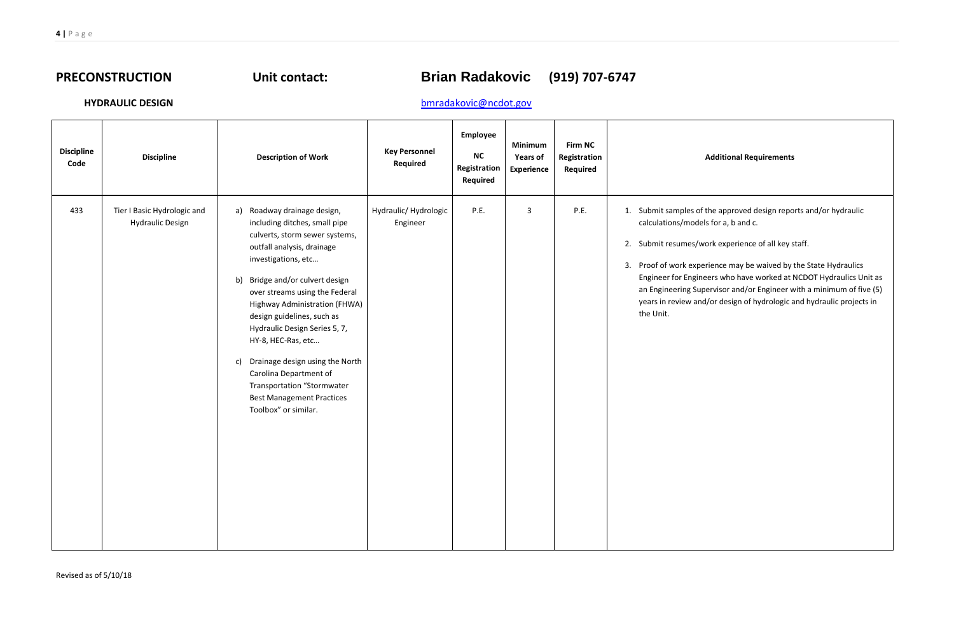# PRECONSTRUCTION Unit contact: **Brian Radakovic** (919) 707-6747

## **HYDRAULIC DESIGN** bmradakovic@ncdot.gov

### Additional Requirements

of the approved design reports and/or hydraulic dels for a, b and  $c$ .

work experience of all key staff.

perience may be waived by the State Hydraulics Engineer for Engineers who have worked at NCDOT Hydraulics Unit as upervisor and/or Engineer with a minimum of five (5) nd/or design of hydrologic and hydraulic projects in

| <b>Discipline</b><br>Code | <b>Discipline</b>                                      | <b>Description of Work</b>                                                                                                                                                                                                                                                                                                                                                                                                                                                                                               | <b>Key Personnel</b><br>Required  | Employee<br><b>NC</b><br>Registration<br><b>Required</b> | <b>Minimum</b><br><b>Years of</b><br>Experience | <b>Firm NC</b><br>Registration<br><b>Required</b> |                                                                                                                                                                                 |
|---------------------------|--------------------------------------------------------|--------------------------------------------------------------------------------------------------------------------------------------------------------------------------------------------------------------------------------------------------------------------------------------------------------------------------------------------------------------------------------------------------------------------------------------------------------------------------------------------------------------------------|-----------------------------------|----------------------------------------------------------|-------------------------------------------------|---------------------------------------------------|---------------------------------------------------------------------------------------------------------------------------------------------------------------------------------|
| 433                       | Tier I Basic Hydrologic and<br><b>Hydraulic Design</b> | Roadway drainage design,<br>a)<br>including ditches, small pipe<br>culverts, storm sewer systems,<br>outfall analysis, drainage<br>investigations, etc<br>Bridge and/or culvert design<br>b)<br>over streams using the Federal<br>Highway Administration (FHWA)<br>design guidelines, such as<br>Hydraulic Design Series 5, 7,<br>HY-8, HEC-Ras, etc<br>Drainage design using the North<br>c)<br>Carolina Department of<br><b>Transportation "Stormwater</b><br><b>Best Management Practices</b><br>Toolbox" or similar. | Hydraulic/ Hydrologic<br>Engineer | P.E.                                                     | 3                                               | P.E.                                              | 1. Submit samples o<br>calculations/mode<br>2. Submit resumes/\<br>Proof of work exp<br>3.<br><b>Engineer for Engir</b><br>an Engineering Su<br>years in review ar<br>the Unit. |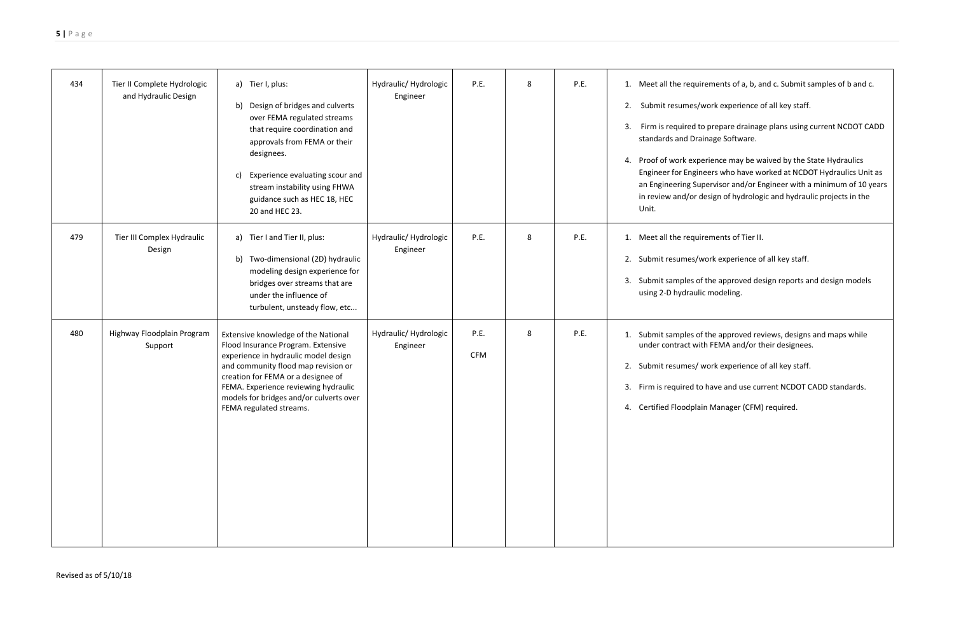$\mu$ irements of a, b, and c. Submit samples of b and c.

/work experience of all key staff.

3. Firm is required to prepare drainage plans using current NCDOT CADD ainage Software.

perience may be waived by the State Hydraulics Engineer for Engineers who have worked at NCDOT Hydraulics Unit as upervisor and/or Engineer with a minimum of 10 years design of hydrologic and hydraulic projects in the

irements of Tier II.

work experience of all key staff.

of the approved design reports and design models lic modeling.

of the approved reviews, designs and maps while vith FEMA and/or their designees.

work experience of all key staff.

o have and use current NCDOT CADD standards.

ain Manager (CFM) required.

| 434 | Tier II Complete Hydrologic<br>and Hydraulic Design | a) Tier I, plus:<br>b)<br>Design of bridges and culverts<br>over FEMA regulated streams<br>that require coordination and<br>approvals from FEMA or their<br>designees.<br>Experience evaluating scour and<br>c)<br>stream instability using FHWA<br>guidance such as HEC 18, HEC<br>20 and HEC 23.           | Hydraulic/ Hydrologic<br>Engineer | P.E.               | 8 | P.E. | 1. Meet all the requ<br>Submit resumes/<br>2.<br>Firm is required t<br>3.<br>standards and Dra<br>4. Proof of work exp<br><b>Engineer for Engir</b><br>an Engineering Su<br>in review and/or<br>Unit. |
|-----|-----------------------------------------------------|--------------------------------------------------------------------------------------------------------------------------------------------------------------------------------------------------------------------------------------------------------------------------------------------------------------|-----------------------------------|--------------------|---|------|-------------------------------------------------------------------------------------------------------------------------------------------------------------------------------------------------------|
| 479 | Tier III Complex Hydraulic<br>Design                | Tier I and Tier II, plus:<br>a)<br>Two-dimensional (2D) hydraulic<br>b)<br>modeling design experience for<br>bridges over streams that are<br>under the influence of<br>turbulent, unsteady flow, etc                                                                                                        | Hydraulic/ Hydrologic<br>Engineer | P.E.               | 8 | P.E. | 1. Meet all the requ<br>2. Submit resumes/<br>3. Submit samples o<br>using 2-D hydraul                                                                                                                |
| 480 | Highway Floodplain Program<br>Support               | Extensive knowledge of the National<br>Flood Insurance Program. Extensive<br>experience in hydraulic model design<br>and community flood map revision or<br>creation for FEMA or a designee of<br>FEMA. Experience reviewing hydraulic<br>models for bridges and/or culverts over<br>FEMA regulated streams. | Hydraulic/ Hydrologic<br>Engineer | P.E.<br><b>CFM</b> | 8 | P.E. | 1. Submit samples o<br>under contract wi<br>2. Submit resumes/<br>3. Firm is required to<br>4. Certified Floodpla                                                                                     |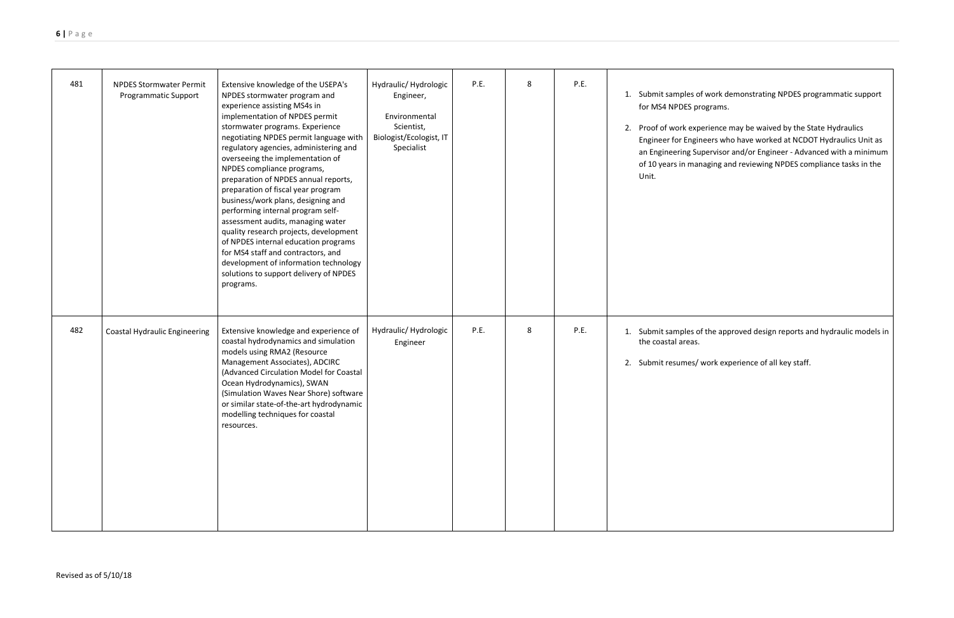of work demonstrating NPDES programmatic support rograms.

perience may be waived by the State Hydraulics Engineer for Engineers who have worked at NCDOT Hydraulics Unit as an Engineering Supervisor and/or Engineer - Advanced with a minimum of 10 years in managing and reviewing NPDES compliance tasks in the

of the approved design reports and hydraulic models in

 $\prime$  work experience of all key staff.

| 481 | <b>NPDES Stormwater Permit</b><br><b>Programmatic Support</b> | Extensive knowledge of the USEPA's<br>NPDES stormwater program and<br>experience assisting MS4s in<br>implementation of NPDES permit<br>stormwater programs. Experience<br>negotiating NPDES permit language with<br>regulatory agencies, administering and<br>overseeing the implementation of<br>NPDES compliance programs,<br>preparation of NPDES annual reports,<br>preparation of fiscal year program<br>business/work plans, designing and<br>performing internal program self-<br>assessment audits, managing water<br>quality research projects, development<br>of NPDES internal education programs<br>for MS4 staff and contractors, and<br>development of information technology<br>solutions to support delivery of NPDES<br>programs. | Hydraulic/ Hydrologic<br>Engineer,<br>Environmental<br>Scientist,<br>Biologist/Ecologist, IT<br>Specialist | P.E. | 8 | P.E. | Submit samples of<br>1.<br>for MS4 NPDES pr<br>Proof of work exp<br>2.<br><b>Engineer for Engir</b><br>an Engineering Su<br>of 10 years in mar<br>Unit. |
|-----|---------------------------------------------------------------|-----------------------------------------------------------------------------------------------------------------------------------------------------------------------------------------------------------------------------------------------------------------------------------------------------------------------------------------------------------------------------------------------------------------------------------------------------------------------------------------------------------------------------------------------------------------------------------------------------------------------------------------------------------------------------------------------------------------------------------------------------|------------------------------------------------------------------------------------------------------------|------|---|------|---------------------------------------------------------------------------------------------------------------------------------------------------------|
| 482 | <b>Coastal Hydraulic Engineering</b>                          | Extensive knowledge and experience of<br>coastal hydrodynamics and simulation<br>models using RMA2 (Resource<br>Management Associates), ADCIRC<br>(Advanced Circulation Model for Coastal<br>Ocean Hydrodynamics), SWAN<br>(Simulation Waves Near Shore) software<br>or similar state-of-the-art hydrodynamic<br>modelling techniques for coastal<br>resources.                                                                                                                                                                                                                                                                                                                                                                                     | Hydraulic/ Hydrologic<br>Engineer                                                                          | P.E. | 8 | P.E. | Submit samples of<br>1.<br>the coastal areas.<br>2. Submit resumes/                                                                                     |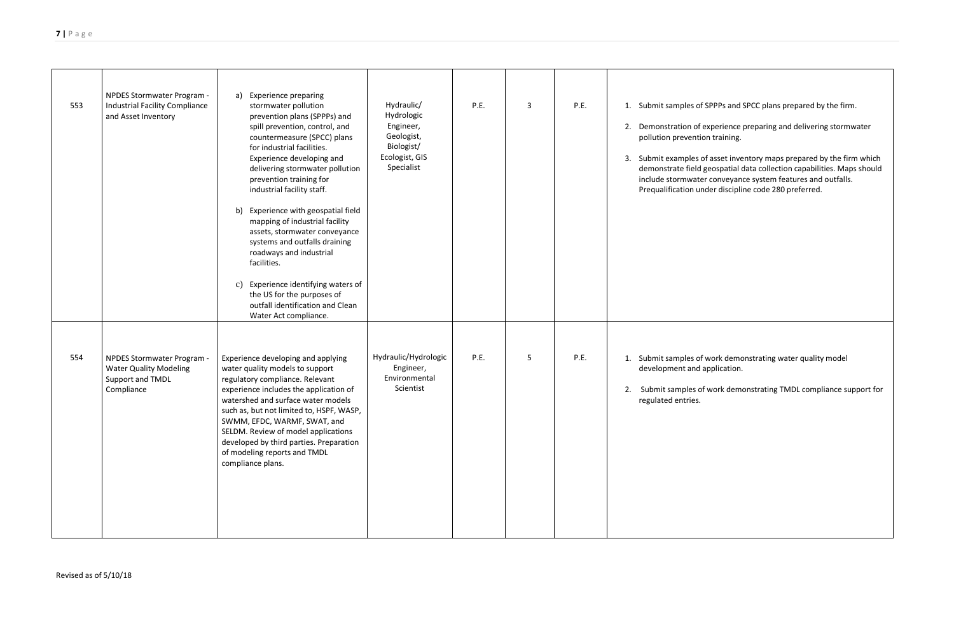of SPPPs and SPCC plans prepared by the firm.

f experience preparing and delivering stormwater tion training.

s of asset inventory maps prepared by the firm which demonstrate field geospatial data collection capabilities. Maps should include stormwater conveyance system features and outfalls. under discipline code 280 preferred.

> of work demonstrating water quality model d application.

of work demonstrating TMDL compliance support for

| 553 | NPDES Stormwater Program -<br><b>Industrial Facility Compliance</b><br>and Asset Inventory    | <b>Experience preparing</b><br>a)<br>stormwater pollution<br>prevention plans (SPPPs) and<br>spill prevention, control, and<br>countermeasure (SPCC) plans<br>for industrial facilities.<br>Experience developing and<br>delivering stormwater pollution<br>prevention training for<br>industrial facility staff.<br>Experience with geospatial field<br>b)<br>mapping of industrial facility<br>assets, stormwater conveyance<br>systems and outfalls draining<br>roadways and industrial<br>facilities.<br>Experience identifying waters of<br>c)<br>the US for the purposes of<br>outfall identification and Clean<br>Water Act compliance. | Hydraulic/<br>Hydrologic<br>Engineer,<br>Geologist,<br>Biologist/<br>Ecologist, GIS<br>Specialist | P.E. | $\overline{3}$ | P.E. | Submit samples of<br>1.<br>Demonstration of<br>2.<br>pollution prevention<br>Submit examples<br>3.<br>demonstrate field<br>include stormwate<br>Prequalification ur |
|-----|-----------------------------------------------------------------------------------------------|------------------------------------------------------------------------------------------------------------------------------------------------------------------------------------------------------------------------------------------------------------------------------------------------------------------------------------------------------------------------------------------------------------------------------------------------------------------------------------------------------------------------------------------------------------------------------------------------------------------------------------------------|---------------------------------------------------------------------------------------------------|------|----------------|------|---------------------------------------------------------------------------------------------------------------------------------------------------------------------|
| 554 | NPDES Stormwater Program -<br><b>Water Quality Modeling</b><br>Support and TMDL<br>Compliance | Experience developing and applying<br>water quality models to support<br>regulatory compliance. Relevant<br>experience includes the application of<br>watershed and surface water models<br>such as, but not limited to, HSPF, WASP,<br>SWMM, EFDC, WARMF, SWAT, and<br>SELDM. Review of model applications<br>developed by third parties. Preparation<br>of modeling reports and TMDL<br>compliance plans.                                                                                                                                                                                                                                    | Hydraulic/Hydrologic<br>Engineer,<br>Environmental<br>Scientist                                   | P.E. | 5              | P.E. | Submit samples of<br>1.<br>development and<br>Submit samples o<br>2.<br>regulated entries.                                                                          |